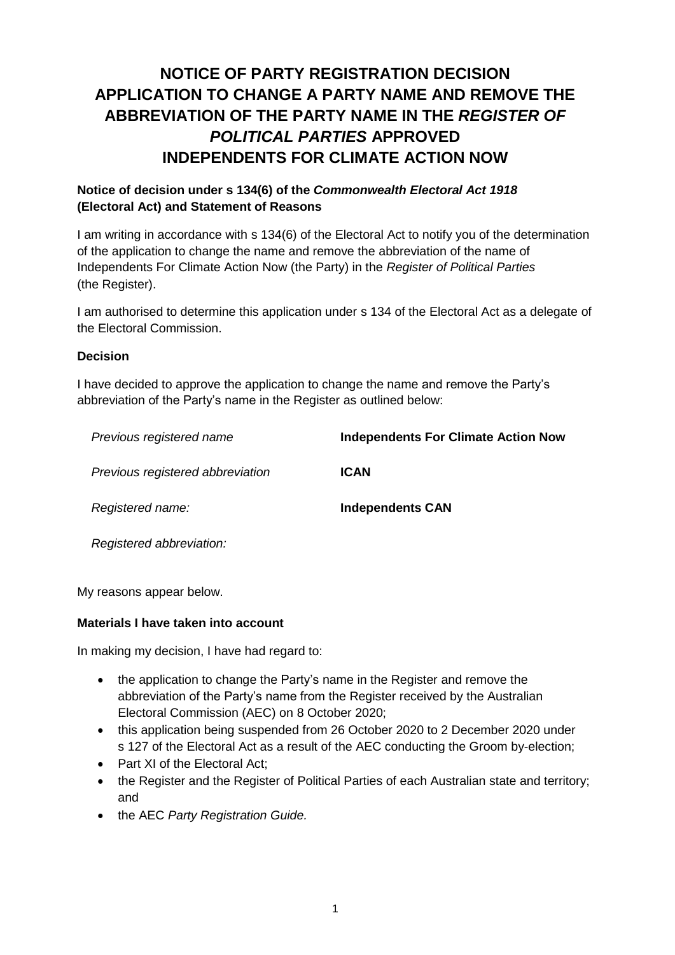# **NOTICE OF PARTY REGISTRATION DECISION APPLICATION TO CHANGE A PARTY NAME AND REMOVE THE ABBREVIATION OF THE PARTY NAME IN THE** *REGISTER OF POLITICAL PARTIES* **APPROVED INDEPENDENTS FOR CLIMATE ACTION NOW**

## **Notice of decision under s 134(6) of the** *Commonwealth Electoral Act 1918* **(Electoral Act) and Statement of Reasons**

I am writing in accordance with s 134(6) of the Electoral Act to notify you of the determination of the application to change the name and remove the abbreviation of the name of Independents For Climate Action Now (the Party) in the *Register of Political Parties*  (the Register).

I am authorised to determine this application under s 134 of the Electoral Act as a delegate of the Electoral Commission.

#### **Decision**

I have decided to approve the application to change the name and remove the Party's abbreviation of the Party's name in the Register as outlined below:

*Previous registered name* **Independents For Climate Action Now** *Previous registered abbreviation* **ICAN** *Registered name:* **Independents CAN**

*Registered abbreviation:*

My reasons appear below.

#### **Materials I have taken into account**

In making my decision, I have had regard to:

- the application to change the Party's name in the Register and remove the abbreviation of the Party's name from the Register received by the Australian Electoral Commission (AEC) on 8 October 2020;
- this application being suspended from 26 October 2020 to 2 December 2020 under s 127 of the Electoral Act as a result of the AEC conducting the Groom by-election;
- Part XI of the Electoral Act:
- the Register and the Register of Political Parties of each Australian state and territory; and
- the AEC *Party Registration Guide.*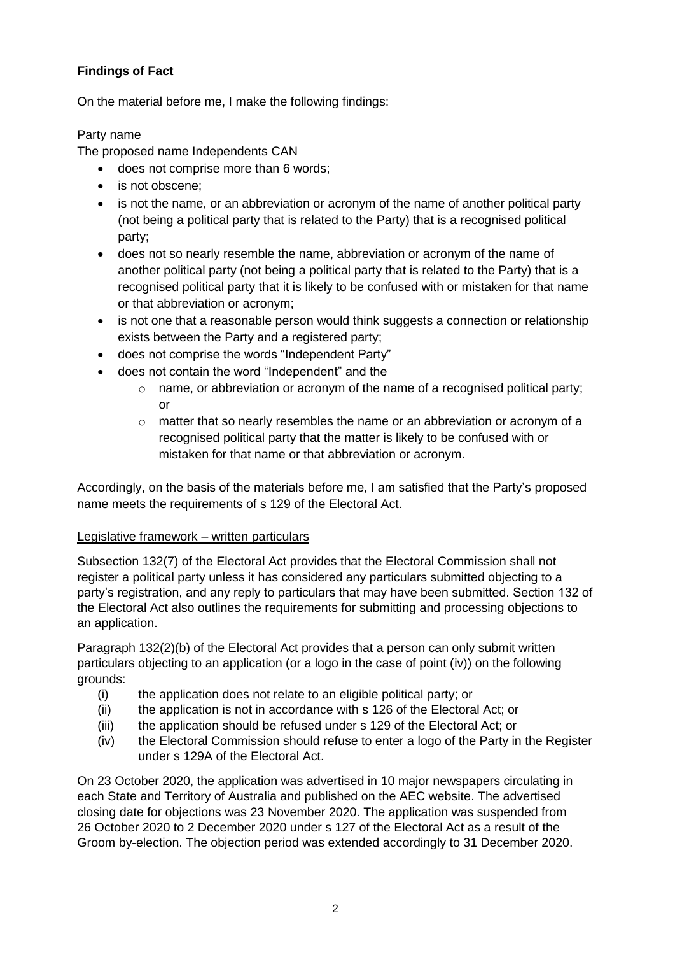## **Findings of Fact**

On the material before me, I make the following findings:

## Party name

The proposed name Independents CAN

- does not comprise more than 6 words;
- is not obscene;
- is not the name, or an abbreviation or acronym of the name of another political party (not being a political party that is related to the Party) that is a recognised political party;
- does not so nearly resemble the name, abbreviation or acronym of the name of another political party (not being a political party that is related to the Party) that is a recognised political party that it is likely to be confused with or mistaken for that name or that abbreviation or acronym;
- is not one that a reasonable person would think suggests a connection or relationship exists between the Party and a registered party;
- does not comprise the words "Independent Party"
- does not contain the word "Independent" and the
	- o name, or abbreviation or acronym of the name of a recognised political party; or
	- o matter that so nearly resembles the name or an abbreviation or acronym of a recognised political party that the matter is likely to be confused with or mistaken for that name or that abbreviation or acronym.

Accordingly, on the basis of the materials before me, I am satisfied that the Party's proposed name meets the requirements of s 129 of the Electoral Act.

## Legislative framework – written particulars

Subsection 132(7) of the Electoral Act provides that the Electoral Commission shall not register a political party unless it has considered any particulars submitted objecting to a party's registration, and any reply to particulars that may have been submitted. Section 132 of the Electoral Act also outlines the requirements for submitting and processing objections to an application.

Paragraph 132(2)(b) of the Electoral Act provides that a person can only submit written particulars objecting to an application (or a logo in the case of point (iv)) on the following grounds:

- (i) the application does not relate to an eligible political party; or
- (ii) the application is not in accordance with s 126 of the Electoral Act; or
- (iii) the application should be refused under s 129 of the Electoral Act; or
- (iv) the Electoral Commission should refuse to enter a logo of the Party in the Register under s 129A of the Electoral Act.

On 23 October 2020, the application was advertised in 10 major newspapers circulating in each State and Territory of Australia and published on the AEC website. The advertised closing date for objections was 23 November 2020. The application was suspended from 26 October 2020 to 2 December 2020 under s 127 of the Electoral Act as a result of the Groom by-election. The objection period was extended accordingly to 31 December 2020.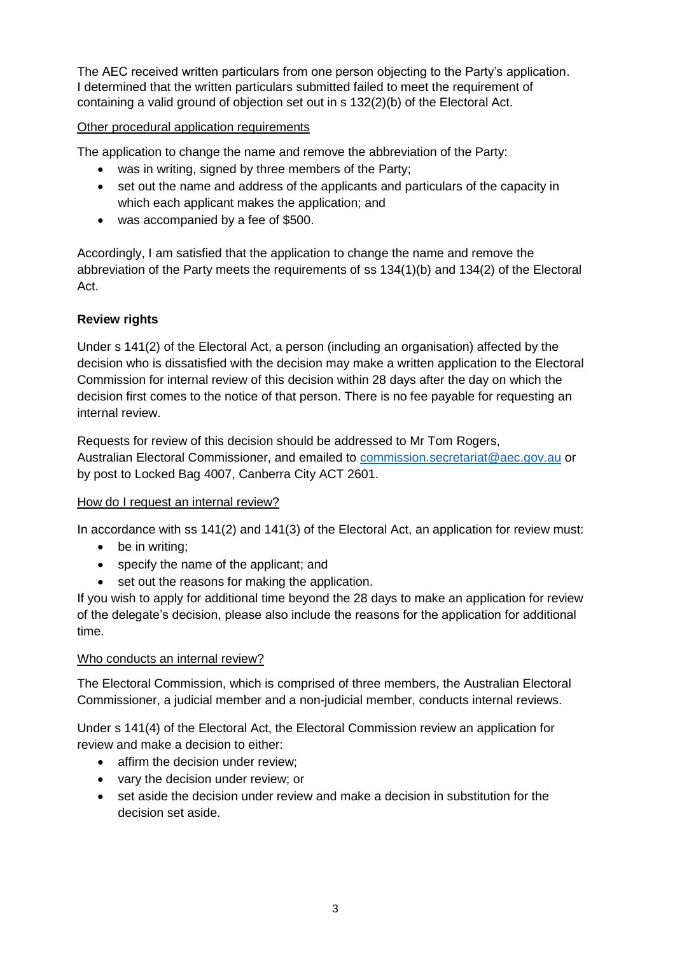The AEC received written particulars from one person objecting to the Party's application. I determined that the written particulars submitted failed to meet the requirement of containing a valid ground of objection set out in s 132(2)(b) of the Electoral Act.

Other procedural application requirements

The application to change the name and remove the abbreviation of the Party:

- was in writing, signed by three members of the Party;
- set out the name and address of the applicants and particulars of the capacity in which each applicant makes the application; and
- was accompanied by a fee of \$500.

Accordingly, I am satisfied that the application to change the name and remove the abbreviation of the Party meets the requirements of ss 134(1)(b) and 134(2) of the Electoral Act.

## **Review rights**

Under s 141(2) of the Electoral Act, a person (including an organisation) affected by the decision who is dissatisfied with the decision may make a written application to the Electoral Commission for internal review of this decision within 28 days after the day on which the decision first comes to the notice of that person. There is no fee payable for requesting an internal review.

Requests for review of this decision should be addressed to Mr Tom Rogers, Australian Electoral Commissioner, and emailed to [commission.secretariat@aec.gov.au](mailto:commission.secretariat@aec.gov.au) or by post to Locked Bag 4007, Canberra City ACT 2601.

## How do I request an internal review?

In accordance with ss 141(2) and 141(3) of the Electoral Act, an application for review must:

- be in writing;
- specify the name of the applicant; and
- set out the reasons for making the application.

If you wish to apply for additional time beyond the 28 days to make an application for review of the delegate's decision, please also include the reasons for the application for additional time.

## Who conducts an internal review?

The Electoral Commission, which is comprised of three members, the Australian Electoral Commissioner, a judicial member and a non-judicial member, conducts internal reviews.

Under s 141(4) of the Electoral Act, the Electoral Commission review an application for review and make a decision to either:

- affirm the decision under review;
- vary the decision under review; or
- set aside the decision under review and make a decision in substitution for the decision set aside.